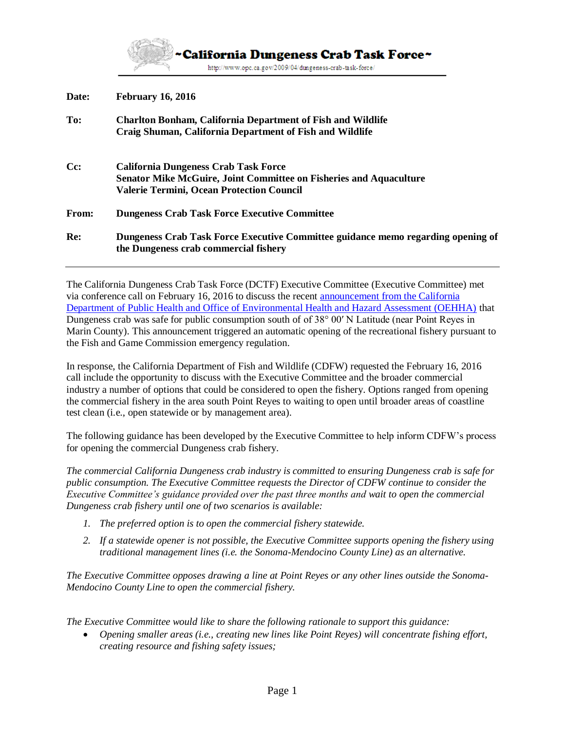

**Date: February 16, 2016**

| To:    | <b>Charlton Bonham, California Department of Fish and Wildlife</b><br>Craig Shuman, California Department of Fish and Wildlife                                        |
|--------|-----------------------------------------------------------------------------------------------------------------------------------------------------------------------|
| $Cc$ : | California Dungeness Crab Task Force<br><b>Senator Mike McGuire, Joint Committee on Fisheries and Aquaculture</b><br><b>Valerie Termini, Ocean Protection Council</b> |
| From:  | <b>Dungeness Crab Task Force Executive Committee</b>                                                                                                                  |
| Re:    | Dungeness Crab Task Force Executive Committee guidance memo regarding opening of<br>the Dungeness crab commercial fishery                                             |

The California Dungeness Crab Task Force (DCTF) Executive Committee (Executive Committee) met via conference call on February 16, 2016 to discuss the recent [announcement from the California](http://nrm.dfg.ca.gov/FileHandler.ashx?DocumentID=116432)  [Department of Public Health and Office of Environmental Health and Hazard Assessment \(OEHHA\)](http://nrm.dfg.ca.gov/FileHandler.ashx?DocumentID=116432) that Dungeness crab was safe for public consumption south of of 38° 00′ N Latitude (near Point Reyes in Marin County). This announcement triggered an automatic opening of the recreational fishery pursuant to the Fish and Game Commission emergency regulation.

In response, the California Department of Fish and Wildlife (CDFW) requested the February 16, 2016 call include the opportunity to discuss with the Executive Committee and the broader commercial industry a number of options that could be considered to open the fishery. Options ranged from opening the commercial fishery in the area south Point Reyes to waiting to open until broader areas of coastline test clean (i.e., open statewide or by management area).

The following guidance has been developed by the Executive Committee to help inform CDFW's process for opening the commercial Dungeness crab fishery.

*The commercial California Dungeness crab industry is committed to ensuring Dungeness crab is safe for public consumption. The Executive Committee requests the Director of CDFW continue to consider the Executive Committee's guidance provided over the past three months and wait to open the commercial Dungeness crab fishery until one of two scenarios is available:*

- *1. The preferred option is to open the commercial fishery statewide.*
- *2. If a statewide opener is not possible, the Executive Committee supports opening the fishery using traditional management lines (i.e. the Sonoma-Mendocino County Line) as an alternative.*

*The Executive Committee opposes drawing a line at Point Reyes or any other lines outside the Sonoma-Mendocino County Line to open the commercial fishery.*

*The Executive Committee would like to share the following rationale to support this guidance:*

 *Opening smaller areas (i.e., creating new lines like Point Reyes) will concentrate fishing effort, creating resource and fishing safety issues;*